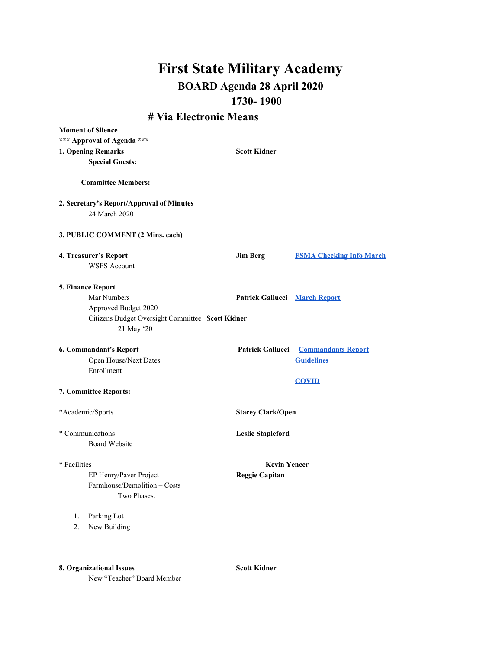## **First State Military Academy BOARD Agenda 28 April 2020 1730- 1900**

## **# Via Electronic Means**

| <b>Moment of Silence</b>                         |                                      |                                            |
|--------------------------------------------------|--------------------------------------|--------------------------------------------|
| *** Approval of Agenda ***                       |                                      |                                            |
| 1. Opening Remarks                               | <b>Scott Kidner</b>                  |                                            |
| <b>Special Guests:</b>                           |                                      |                                            |
|                                                  |                                      |                                            |
| <b>Committee Members:</b>                        |                                      |                                            |
| 2. Secretary's Report/Approval of Minutes        |                                      |                                            |
| 24 March 2020                                    |                                      |                                            |
| 3. PUBLIC COMMENT (2 Mins. each)                 |                                      |                                            |
| 4. Treasurer's Report                            | <b>Jim Berg</b>                      | <b>FSMA Checking Info March</b>            |
| <b>WSFS Account</b>                              |                                      |                                            |
| 5. Finance Report                                |                                      |                                            |
| Mar Numbers                                      | <b>Patrick Gallucci</b> March Report |                                            |
| Approved Budget 2020                             |                                      |                                            |
| Citizens Budget Oversight Committee Scott Kidner |                                      |                                            |
| 21 May '20                                       |                                      |                                            |
|                                                  |                                      |                                            |
| 6. Commandant's Report                           |                                      | <b>Patrick Gallucci Commandants Report</b> |
| Open House/Next Dates                            |                                      | <b>Guidelines</b>                          |
| Enrollment                                       |                                      |                                            |
|                                                  |                                      | <b>COVID</b>                               |
| 7. Committee Reports:                            |                                      |                                            |
|                                                  |                                      |                                            |
| *Academic/Sports                                 | <b>Stacey Clark/Open</b>             |                                            |
|                                                  |                                      |                                            |
| * Communications                                 | <b>Leslie Stapleford</b>             |                                            |
| Board Website                                    |                                      |                                            |
|                                                  |                                      |                                            |
| * Facilities                                     | <b>Kevin Yencer</b>                  |                                            |
| EP Henry/Paver Project                           | <b>Reggie Capitan</b>                |                                            |
| Farmhouse/Demolition - Costs                     |                                      |                                            |
| Two Phases:                                      |                                      |                                            |
|                                                  |                                      |                                            |
| Parking Lot<br>1.                                |                                      |                                            |
| New Building<br>2.                               |                                      |                                            |
|                                                  |                                      |                                            |
|                                                  |                                      |                                            |
|                                                  |                                      |                                            |

**8. Organizational Issues Scott Kidner**

New "Teacher" Board Member